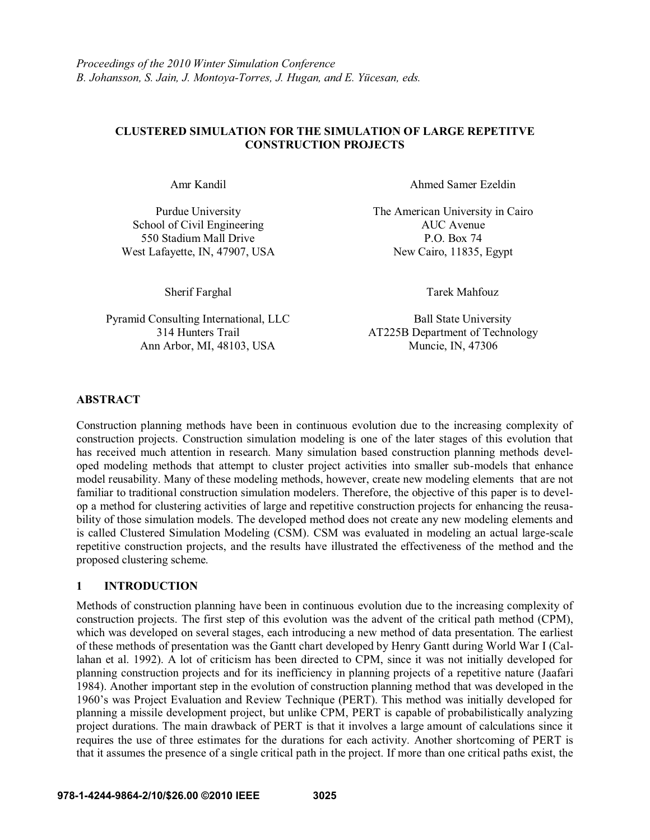## **CLUSTERED SIMULATION FOR THE SIMULATION OF LARGE REPETITVE CONSTRUCTION PROJECTS**

School of Civil Engineering AUC Avenue 550 Stadium Mall Drive West Lafayette, IN, 47907, USA

Sherif Farghal

Pyramid Consulting International, LLC 314 Hunters Trail Ann Arbor, MI, 48103, USA

Amr Kandil Ahmed Samer Ezeldin

Purdue University The American University in Cairo P.O. Box 74 New Cairo, 11835, Egypt

Tarek Mahfouz

Ball State University AT225B Department of Technology Muncie, IN, 47306

## **ABSTRACT**

Construction planning methods have been in continuous evolution due to the increasing complexity of construction projects. Construction simulation modeling is one of the later stages of this evolution that has received much attention in research. Many simulation based construction planning methods developed modeling methods that attempt to cluster project activities into smaller sub-models that enhance model reusability. Many of these modeling methods, however, create new modeling elements that are not familiar to traditional construction simulation modelers. Therefore, the objective of this paper is to develop a method for clustering activities of large and repetitive construction projects for enhancing the reusability of those simulation models. The developed method does not create any new modeling elements and is called Clustered Simulation Modeling (CSM). CSM was evaluated in modeling an actual large-scale repetitive construction projects, and the results have illustrated the effectiveness of the method and the proposed clustering scheme.

## **1 INTRODUCTION**

Methods of construction planning have been in continuous evolution due to the increasing complexity of construction projects. The first step of this evolution was the advent of the critical path method (CPM), which was developed on several stages, each introducing a new method of data presentation. The earliest of these methods of presentation was the Gantt chart developed by Henry Gantt during World War I (Callahan et al. 1992). A lot of criticism has been directed to CPM, since it was not initially developed for planning construction projects and for its inefficiency in planning projects of a repetitive nature (Jaafari 1984). Another important step in the evolution of construction planning method that was developed in the 1960's was Project Evaluation and Review Technique (PERT). This method was initially developed for planning a missile development project, but unlike CPM, PERT is capable of probabilistically analyzing project durations. The main drawback of PERT is that it involves a large amount of calculations since it requires the use of three estimates for the durations for each activity. Another shortcoming of PERT is that it assumes the presence of a single critical path in the project. If more than one critical paths exist, the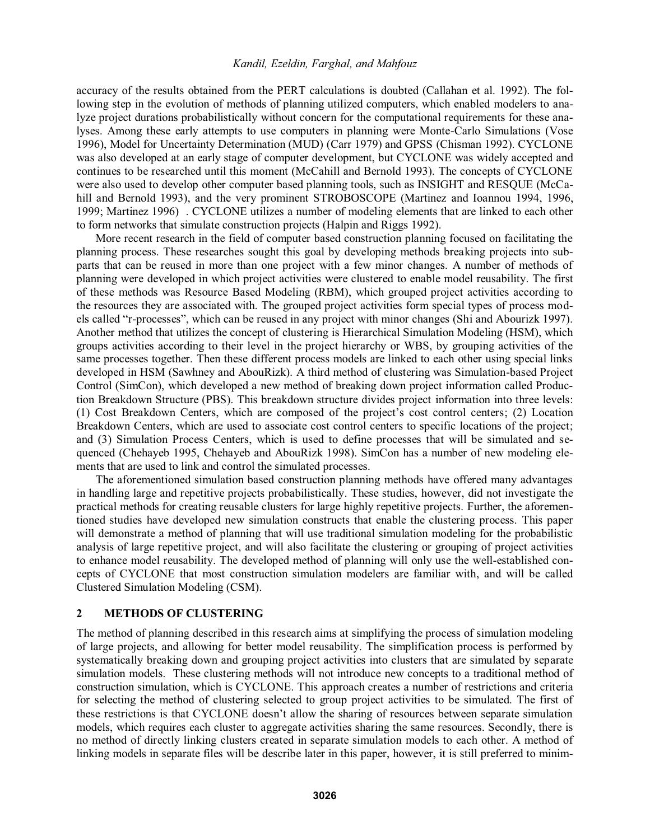accuracy of the results obtained from the PERT calculations is doubted (Callahan et al. 1992). The following step in the evolution of methods of planning utilized computers, which enabled modelers to analyze project durations probabilistically without concern for the computational requirements for these analyses. Among these early attempts to use computers in planning were Monte-Carlo Simulations (Vose 1996), Model for Uncertainty Determination (MUD) (Carr 1979) and GPSS (Chisman 1992). CYCLONE was also developed at an early stage of computer development, but CYCLONE was widely accepted and continues to be researched until this moment (McCahill and Bernold 1993). The concepts of CYCLONE were also used to develop other computer based planning tools, such as INSIGHT and RESQUE (McCahill and Bernold 1993), and the very prominent STROBOSCOPE (Martinez and Ioannou 1994, 1996, 1999; Martinez 1996) . CYCLONE utilizes a number of modeling elements that are linked to each other to form networks that simulate construction projects (Halpin and Riggs 1992).

More recent research in the field of computer based construction planning focused on facilitating the planning process. These researches sought this goal by developing methods breaking projects into subparts that can be reused in more than one project with a few minor changes. A number of methods of planning were developed in which project activities were clustered to enable model reusability. The first of these methods was Resource Based Modeling (RBM), which grouped project activities according to the resources they are associated with. The grouped project activities form special types of process mod els called "r-processes", which can be reused in any project with minor changes (Shi and Abourizk 1997). Another method that utilizes the concept of clustering is Hierarchical Simulation Modeling (HSM), which groups activities according to their level in the project hierarchy or WBS, by grouping activities of the same processes together. Then these different process models are linked to each other using special links developed in HSM (Sawhney and AbouRizk). A third method of clustering was Simulation-based Project Control (SimCon), which developed a new method of breaking down project information called Production Breakdown Structure (PBS). This breakdown structure divides project information into three levels: (1) Cost Breakdown Centers, which are composed of the project's cost control centers; (2) Location Breakdown Centers, which are used to associate cost control centers to specific locations of the project; and (3) Simulation Process Centers, which is used to define processes that will be simulated and sequenced (Chehayeb 1995, Chehayeb and AbouRizk 1998). SimCon has a number of new modeling elements that are used to link and control the simulated processes.

The aforementioned simulation based construction planning methods have offered many advantages in handling large and repetitive projects probabilistically. These studies, however, did not investigate the practical methods for creating reusable clusters for large highly repetitive projects. Further, the aforementioned studies have developed new simulation constructs that enable the clustering process. This paper will demonstrate a method of planning that will use traditional simulation modeling for the probabilistic analysis of large repetitive project, and will also facilitate the clustering or grouping of project activities to enhance model reusability. The developed method of planning will only use the well-established concepts of CYCLONE that most construction simulation modelers are familiar with, and will be called Clustered Simulation Modeling (CSM).

### **2 METHODS OF CLUSTERING**

The method of planning described in this research aims at simplifying the process of simulation modeling of large projects, and allowing for better model reusability. The simplification process is performed by systematically breaking down and grouping project activities into clusters that are simulated by separate simulation models. These clustering methods will not introduce new concepts to a traditional method of construction simulation, which is CYCLONE. This approach creates a number of restrictions and criteria for selecting the method of clustering selected to group project activities to be simulated. The first of these restrictions is that CYCLONE doesn't allow the sharing of resources between separate simulation models, which requires each cluster to aggregate activities sharing the same resources. Secondly, there is no method of directly linking clusters created in separate simulation models to each other. A method of linking models in separate files will be describe later in this paper, however, it is still preferred to minim-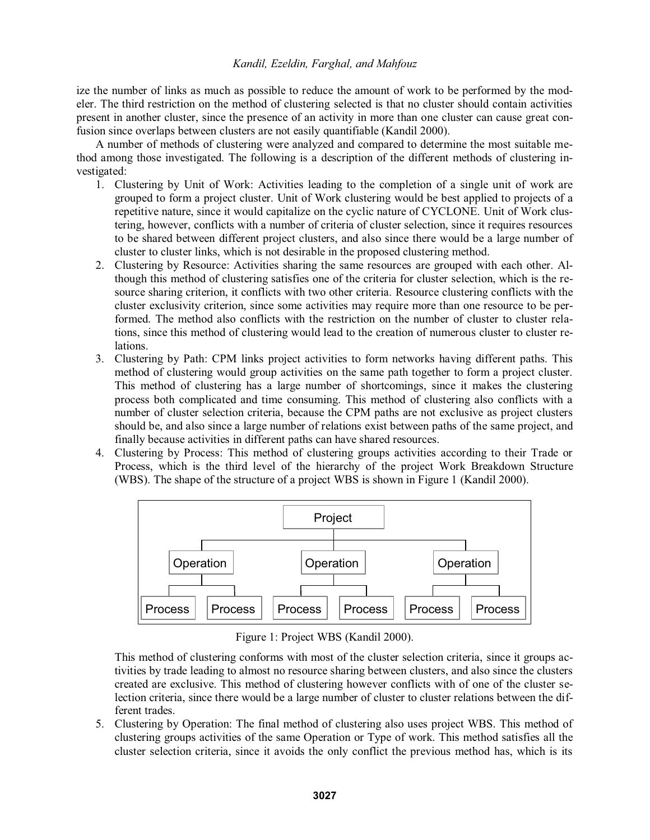ize the number of links as much as possible to reduce the amount of work to be performed by the modeler. The third restriction on the method of clustering selected is that no cluster should contain activities present in another cluster, since the presence of an activity in more than one cluster can cause great confusion since overlaps between clusters are not easily quantifiable (Kandil 2000).

A number of methods of clustering were analyzed and compared to determine the most suitable method among those investigated. The following is a description of the different methods of clustering investigated:

- 1. Clustering by Unit of Work: Activities leading to the completion of a single unit of work are grouped to form a project cluster. Unit of Work clustering would be best applied to projects of a repetitive nature, since it would capitalize on the cyclic nature of CYCLONE. Unit of Work clustering, however, conflicts with a number of criteria of cluster selection, since it requires resources to be shared between different project clusters, and also since there would be a large number of cluster to cluster links, which is not desirable in the proposed clustering method.
- 2. Clustering by Resource: Activities sharing the same resources are grouped with each other. Although this method of clustering satisfies one of the criteria for cluster selection, which is the resource sharing criterion, it conflicts with two other criteria. Resource clustering conflicts with the cluster exclusivity criterion, since some activities may require more than one resource to be performed. The method also conflicts with the restriction on the number of cluster to cluster relations, since this method of clustering would lead to the creation of numerous cluster to cluster relations.
- 3. Clustering by Path: CPM links project activities to form networks having different paths. This method of clustering would group activities on the same path together to form a project cluster. This method of clustering has a large number of shortcomings, since it makes the clustering process both complicated and time consuming. This method of clustering also conflicts with a number of cluster selection criteria, because the CPM paths are not exclusive as project clusters should be, and also since a large number of relations exist between paths of the same project, and finally because activities in different paths can have shared resources.
- 4. Clustering by Process: This method of clustering groups activities according to their Trade or Process, which is the third level of the hierarchy of the project Work Breakdown Structure (WBS). The shape of the structure of a project WBS is shown in Figure 1 (Kandil 2000).



Figure 1: Project WBS (Kandil 2000).

This method of clustering conforms with most of the cluster selection criteria, since it groups activities by trade leading to almost no resource sharing between clusters, and also since the clusters created are exclusive. This method of clustering however conflicts with of one of the cluster selection criteria, since there would be a large number of cluster to cluster relations between the different trades.

5. Clustering by Operation: The final method of clustering also uses project WBS. This method of clustering groups activities of the same Operation or Type of work. This method satisfies all the cluster selection criteria, since it avoids the only conflict the previous method has, which is its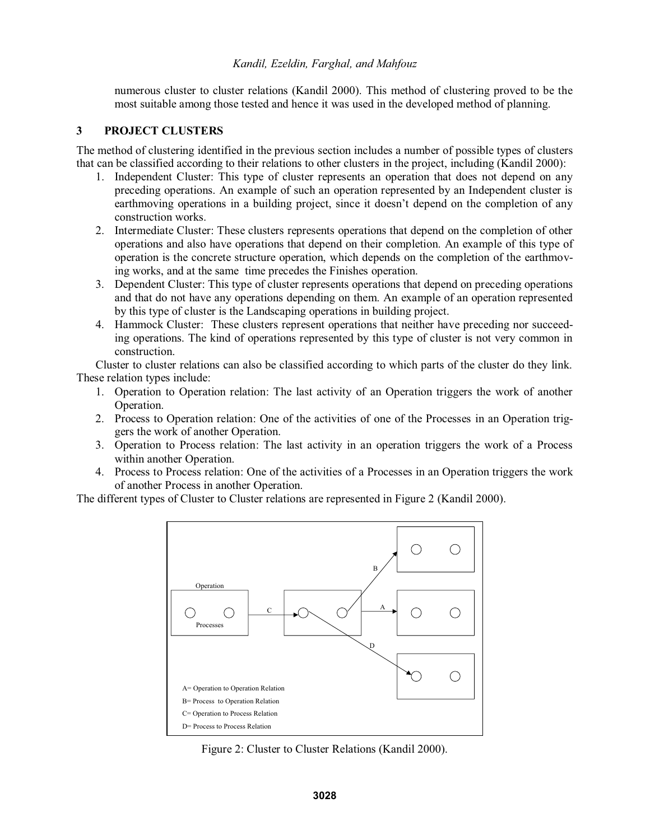numerous cluster to cluster relations (Kandil 2000). This method of clustering proved to be the most suitable among those tested and hence it was used in the developed method of planning.

## **3 PROJECT CLUSTERS**

The method of clustering identified in the previous section includes a number of possible types of clusters that can be classified according to their relations to other clusters in the project, including (Kandil 2000):

- 1. Independent Cluster: This type of cluster represents an operation that does not depend on any preceding operations. An example of such an operation represented by an Independent cluster is earthmoving operations in a building project, since it doesn't depend on the completion of any construction works.
- 2. Intermediate Cluster: These clusters represents operations that depend on the completion of other operations and also have operations that depend on their completion. An example of this type of operation is the concrete structure operation, which depends on the completion of the earthmoving works, and at the same time precedes the Finishes operation.
- 3. Dependent Cluster: This type of cluster represents operations that depend on preceding operations and that do not have any operations depending on them. An example of an operation represented by this type of cluster is the Landscaping operations in building project.
- 4. Hammock Cluster: These clusters represent operations that neither have preceding nor succeeding operations. The kind of operations represented by this type of cluster is not very common in construction.

Cluster to cluster relations can also be classified according to which parts of the cluster do they link. These relation types include:

- 1. Operation to Operation relation: The last activity of an Operation triggers the work of another Operation.
- 2. Process to Operation relation: One of the activities of one of the Processes in an Operation triggers the work of another Operation.
- 3. Operation to Process relation: The last activity in an operation triggers the work of a Process within another Operation.
- 4. Process to Process relation: One of the activities of a Processes in an Operation triggers the work of another Process in another Operation.

The different types of Cluster to Cluster relations are represented in Figure 2 (Kandil 2000).



Figure 2: Cluster to Cluster Relations (Kandil 2000).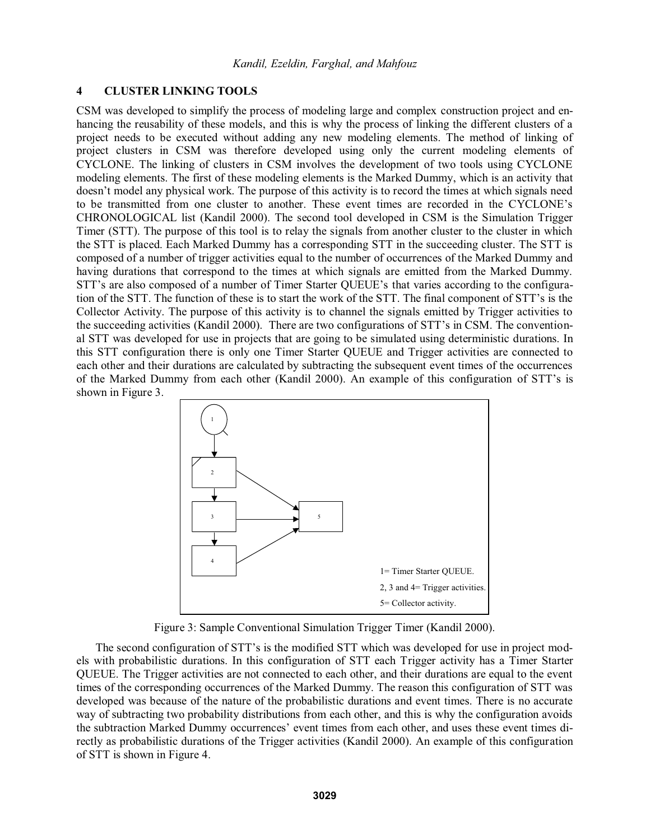### **4 CLUSTER LINKING TOOLS**

CSM was developed to simplify the process of modeling large and complex construction project and enhancing the reusability of these models, and this is why the process of linking the different clusters of a project needs to be executed without adding any new modeling elements. The method of linking of project clusters in CSM was therefore developed using only the current modeling elements of CYCLONE. The linking of clusters in CSM involves the development of two tools using CYCLONE modeling elements. The first of these modeling elements is the Marked Dummy, which is an activity that doesn't model any physical work. The purpose of this activity is to record the times at which signals need to be transmitted from one cluster to another. These event times are recorded in the CYCLONE's CHRONOLOGICAL list (Kandil 2000). The second tool developed in CSM is the Simulation Trigger Timer (STT). The purpose of this tool is to relay the signals from another cluster to the cluster in which the STT is placed. Each Marked Dummy has a corresponding STT in the succeeding cluster. The STT is composed of a number of trigger activities equal to the number of occurrences of the Marked Dummy and having durations that correspond to the times at which signals are emitted from the Marked Dummy. STT's are also composed of a number of Timer Starter QUEUE's that varies according to the configuration of the STT. The function of these is to start the work of the STT. The final component of STT's is the Collector Activity. The purpose of this activity is to channel the signals emitted by Trigger activities to the succeeding activities (Kandil 2000). There are two configurations of STT's in CSM. The conventional STT was developed for use in projects that are going to be simulated using deterministic durations. In this STT configuration there is only one Timer Starter QUEUE and Trigger activities are connected to each other and their durations are calculated by subtracting the subsequent event times of the occurrences of the Marked Dummy from each other (Kandil 2000). An example of this configuration of STT's is shown in Figure 3.



Figure 3: Sample Conventional Simulation Trigger Timer (Kandil 2000).

The second configuration of STT's is the modified STT which was developed for use in project models with probabilistic durations. In this configuration of STT each Trigger activity has a Timer Starter QUEUE. The Trigger activities are not connected to each other, and their durations are equal to the event times of the corresponding occurrences of the Marked Dummy. The reason this configuration of STT was developed was because of the nature of the probabilistic durations and event times. There is no accurate way of subtracting two probability distributions from each other, and this is why the configuration avoids the subtraction Marked Dummy occurrences' event times from each other, and uses these event times directly as probabilistic durations of the Trigger activities (Kandil 2000). An example of this configuration of STT is shown in Figure 4.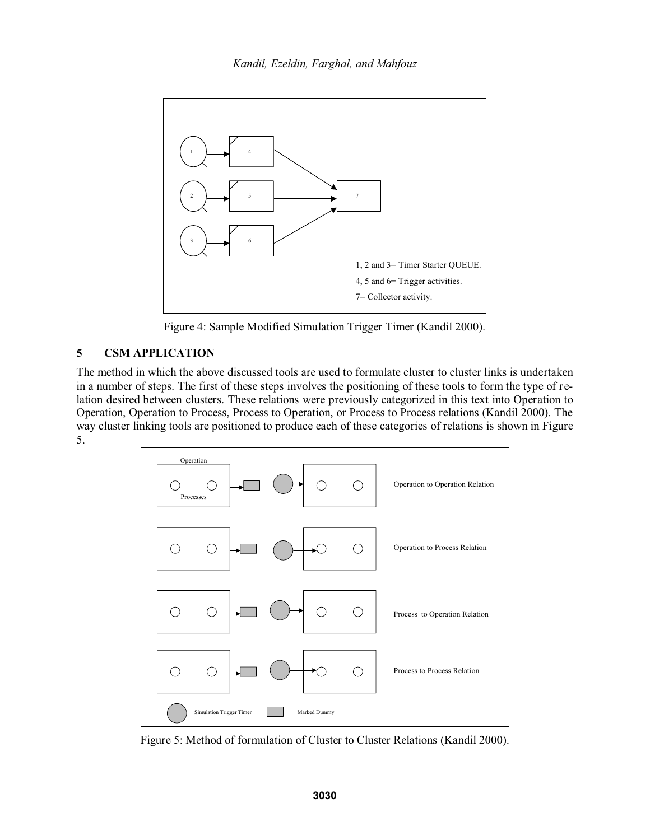

Figure 4: Sample Modified Simulation Trigger Timer (Kandil 2000).

## **5 CSM APPLICATION**

The method in which the above discussed tools are used to formulate cluster to cluster links is undertaken in a number of steps. The first of these steps involves the positioning of these tools to form the type of relation desired between clusters. These relations were previously categorized in this text into Operation to Operation, Operation to Process, Process to Operation, or Process to Process relations (Kandil 2000). The way cluster linking tools are positioned to produce each of these categories of relations is shown in Figure 5.



Figure 5: Method of formulation of Cluster to Cluster Relations (Kandil 2000).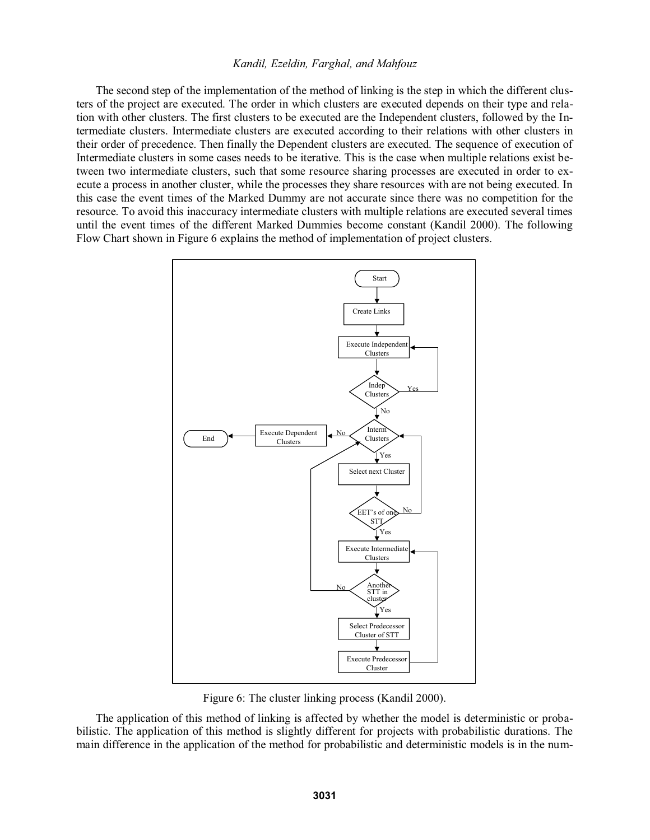The second step of the implementation of the method of linking is the step in which the different clusters of the project are executed. The order in which clusters are executed depends on their type and relation with other clusters. The first clusters to be executed are the Independent clusters, followed by the Intermediate clusters. Intermediate clusters are executed according to their relations with other clusters in their order of precedence. Then finally the Dependent clusters are executed. The sequence of execution of Intermediate clusters in some cases needs to be iterative. This is the case when multiple relations exist between two intermediate clusters, such that some resource sharing processes are executed in order to execute a process in another cluster, while the processes they share resources with are not being executed. In this case the event times of the Marked Dummy are not accurate since there was no competition for the resource. To avoid this inaccuracy intermediate clusters with multiple relations are executed several times until the event times of the different Marked Dummies become constant (Kandil 2000). The following Flow Chart shown in Figure 6 explains the method of implementation of project clusters.



Figure 6: The cluster linking process (Kandil 2000).

The application of this method of linking is affected by whether the model is deterministic or probabilistic. The application of this method is slightly different for projects with probabilistic durations. The main difference in the application of the method for probabilistic and deterministic models is in the num-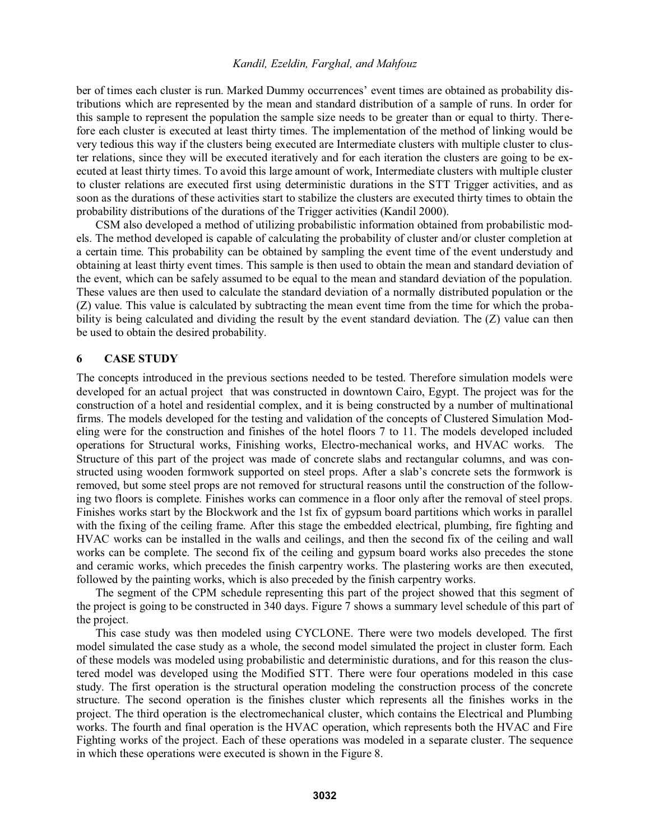ber of times each cluster is run. Marked Dummy occurrences' event times are obtained as probability distributions which are represented by the mean and standard distribution of a sample of runs. In order for this sample to represent the population the sample size needs to be greater than or equal to thirty. Therefore each cluster is executed at least thirty times. The implementation of the method of linking would be very tedious this way if the clusters being executed are Intermediate clusters with multiple cluster to cluster relations, since they will be executed iteratively and for each iteration the clusters are going to be executed at least thirty times. To avoid this large amount of work, Intermediate clusters with multiple cluster to cluster relations are executed first using deterministic durations in the STT Trigger activities, and as soon as the durations of these activities start to stabilize the clusters are executed thirty times to obtain the probability distributions of the durations of the Trigger activities (Kandil 2000).

CSM also developed a method of utilizing probabilistic information obtained from probabilistic models. The method developed is capable of calculating the probability of cluster and/or cluster completion at a certain time. This probability can be obtained by sampling the event time of the event understudy and obtaining at least thirty event times. This sample is then used to obtain the mean and standard deviation of the event, which can be safely assumed to be equal to the mean and standard deviation of the population. These values are then used to calculate the standard deviation of a normally distributed population or the (Z) value. This value is calculated by subtracting the mean event time from the time for which the probability is being calculated and dividing the result by the event standard deviation. The (Z) value can then be used to obtain the desired probability.

### **6 CASE STUDY**

The concepts introduced in the previous sections needed to be tested. Therefore simulation models were developed for an actual project that was constructed in downtown Cairo, Egypt. The project was for the construction of a hotel and residential complex, and it is being constructed by a number of multinational firms. The models developed for the testing and validation of the concepts of Clustered Simulation Modeling were for the construction and finishes of the hotel floors 7 to 11. The models developed included operations for Structural works, Finishing works, Electro-mechanical works, and HVAC works. The Structure of this part of the project was made of concrete slabs and rectangular columns, and was con structed using wooden formwork supported on steel props. After a slab's concrete sets the formwork is removed, but some steel props are not removed for structural reasons until the construction of the following two floors is complete. Finishes works can commence in a floor only after the removal of steel props. Finishes works start by the Blockwork and the 1st fix of gypsum board partitions which works in parallel with the fixing of the ceiling frame. After this stage the embedded electrical, plumbing, fire fighting and HVAC works can be installed in the walls and ceilings, and then the second fix of the ceiling and wall works can be complete. The second fix of the ceiling and gypsum board works also precedes the stone and ceramic works, which precedes the finish carpentry works. The plastering works are then executed, followed by the painting works, which is also preceded by the finish carpentry works.

The segment of the CPM schedule representing this part of the project showed that this segment of the project is going to be constructed in 340 days. Figure 7 shows a summary level schedule of this part of the project.

This case study was then modeled using CYCLONE. There were two models developed. The first model simulated the case study as a whole, the second model simulated the project in cluster form. Each of these models was modeled using probabilistic and deterministic durations, and for this reason the clustered model was developed using the Modified STT. There were four operations modeled in this case study. The first operation is the structural operation modeling the construction process of the concrete structure. The second operation is the finishes cluster which represents all the finishes works in the project. The third operation is the electromechanical cluster, which contains the Electrical and Plumbing works. The fourth and final operation is the HVAC operation, which represents both the HVAC and Fire Fighting works of the project. Each of these operations was modeled in a separate cluster. The sequence in which these operations were executed is shown in the Figure 8.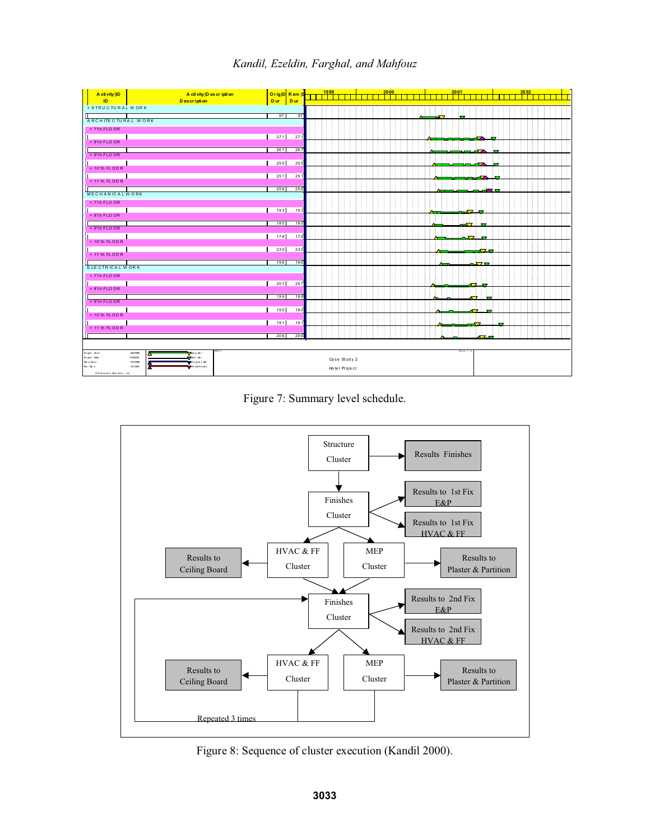|                                        |                                   |      |             |      | 1999<br>2000 |  | 2001            |  |  |  |  | 2002 |          |                          |      |  |  |  |  |  |  |
|----------------------------------------|-----------------------------------|------|-------------|------|--------------|--|-----------------|--|--|--|--|------|----------|--------------------------|------|--|--|--|--|--|--|
| A ctivity ID                           | A ctivity  D escription           |      | Orig DRem D |      |              |  |                 |  |  |  |  |      |          |                          |      |  |  |  |  |  |  |
| ID                                     | <b>Description</b>                |      | <b>Dur</b>  | D ur |              |  |                 |  |  |  |  |      |          |                          |      |  |  |  |  |  |  |
| + STRUCTURAL WORK                      |                                   |      |             |      |              |  |                 |  |  |  |  |      |          |                          |      |  |  |  |  |  |  |
|                                        |                                   |      | 97          | 97   |              |  |                 |  |  |  |  |      |          |                          |      |  |  |  |  |  |  |
| ARCHITE CTURAL WORK                    |                                   |      |             |      |              |  |                 |  |  |  |  |      |          |                          |      |  |  |  |  |  |  |
| +7'th FLOOR                            |                                   |      |             |      |              |  |                 |  |  |  |  |      |          |                          |      |  |  |  |  |  |  |
|                                        |                                   |      | 271         | 271  |              |  |                 |  |  |  |  |      |          |                          |      |  |  |  |  |  |  |
| + 8'th FLO OR                          |                                   |      |             |      |              |  |                 |  |  |  |  |      |          |                          |      |  |  |  |  |  |  |
|                                        |                                   |      | 267         | 267  |              |  |                 |  |  |  |  |      |          |                          |      |  |  |  |  |  |  |
| + 9'th FLO OR                          |                                   |      |             |      |              |  |                 |  |  |  |  |      |          |                          |      |  |  |  |  |  |  |
|                                        |                                   |      | 255         | 255  |              |  |                 |  |  |  |  |      |          |                          |      |  |  |  |  |  |  |
| + 10'th FLOOR                          |                                   |      |             |      |              |  |                 |  |  |  |  |      |          |                          |      |  |  |  |  |  |  |
|                                        |                                   |      | 251         | 251  |              |  |                 |  |  |  |  |      |          |                          |      |  |  |  |  |  |  |
| + 11'th FLOOR                          |                                   |      |             |      |              |  |                 |  |  |  |  |      |          |                          |      |  |  |  |  |  |  |
|                                        |                                   |      | 256         | 256  |              |  |                 |  |  |  |  |      |          |                          | -775 |  |  |  |  |  |  |
| <b>MECHANICALWORK</b>                  |                                   |      |             |      |              |  |                 |  |  |  |  |      |          |                          |      |  |  |  |  |  |  |
| +7'th FLOOR                            |                                   |      |             |      |              |  |                 |  |  |  |  |      |          |                          |      |  |  |  |  |  |  |
|                                        |                                   |      |             |      |              |  |                 |  |  |  |  |      |          |                          |      |  |  |  |  |  |  |
| + 8'th FLO OR                          |                                   |      | 193         | 193  |              |  |                 |  |  |  |  |      |          | 52.52                    |      |  |  |  |  |  |  |
|                                        |                                   |      |             |      |              |  |                 |  |  |  |  |      |          |                          |      |  |  |  |  |  |  |
| + 9'th FLO OR                          |                                   |      | 180         | 180  |              |  |                 |  |  |  |  |      | ٣s       | $\overline{\phantom{0}}$ |      |  |  |  |  |  |  |
|                                        |                                   |      |             |      |              |  |                 |  |  |  |  |      |          |                          |      |  |  |  |  |  |  |
| + 10'th FLOOR                          |                                   |      | 178         | 178  |              |  |                 |  |  |  |  |      |          |                          |      |  |  |  |  |  |  |
|                                        |                                   |      |             |      |              |  |                 |  |  |  |  |      |          |                          |      |  |  |  |  |  |  |
| + 11'th FLOOR                          |                                   |      | 230         | 230  |              |  |                 |  |  |  |  |      |          | <b>AVE</b>               |      |  |  |  |  |  |  |
|                                        |                                   |      |             |      |              |  |                 |  |  |  |  |      |          |                          |      |  |  |  |  |  |  |
| ELECTRICAL WORK                        |                                   |      | 196         | 196  |              |  |                 |  |  |  |  |      |          | 5257                     |      |  |  |  |  |  |  |
|                                        |                                   |      |             |      |              |  |                 |  |  |  |  |      |          |                          |      |  |  |  |  |  |  |
| +7'th FLOOR                            |                                   |      |             |      |              |  |                 |  |  |  |  |      |          |                          |      |  |  |  |  |  |  |
|                                        |                                   |      | 207         | 207  |              |  |                 |  |  |  |  |      |          |                          |      |  |  |  |  |  |  |
| + 8'th FLO OR                          |                                   |      |             |      |              |  |                 |  |  |  |  |      |          |                          |      |  |  |  |  |  |  |
|                                        |                                   |      | 199         | 199  |              |  |                 |  |  |  |  |      |          |                          |      |  |  |  |  |  |  |
| + 9'th FLO OR                          |                                   |      |             |      |              |  |                 |  |  |  |  |      |          |                          |      |  |  |  |  |  |  |
|                                        |                                   |      | 190         | 190  |              |  |                 |  |  |  |  |      |          |                          |      |  |  |  |  |  |  |
| + 10'th FLOOR                          |                                   |      |             |      |              |  |                 |  |  |  |  |      |          |                          |      |  |  |  |  |  |  |
|                                        |                                   |      | 191         | 191  |              |  |                 |  |  |  |  |      |          |                          |      |  |  |  |  |  |  |
| + 11'th FLOOR                          |                                   |      |             |      |              |  |                 |  |  |  |  |      |          |                          |      |  |  |  |  |  |  |
|                                        |                                   |      | 206         | 206  |              |  |                 |  |  |  |  |      |          |                          | ≂ ≂  |  |  |  |  |  |  |
|                                        |                                   |      |             |      |              |  |                 |  |  |  |  |      |          |                          |      |  |  |  |  |  |  |
| Project Start                          | <b>D</b> Sir y Bar<br>06AFR69     | ew o |             |      |              |  |                 |  |  |  |  |      | She et 1 |                          |      |  |  |  |  |  |  |
| <b>Rojict Rish</b>                     | 31DB002<br><b>That</b> Bar        |      |             |      |              |  | Case Study 2    |  |  |  |  |      |          |                          |      |  |  |  |  |  |  |
| Dat a Date                             | 07AFR69<br>Progress Bar           |      |             |      |              |  |                 |  |  |  |  |      |          |                          |      |  |  |  |  |  |  |
| Rin Dit e<br>OPrinavera Sist ens. Inc. | 15J AND1<br><b>D</b> I isl Activy |      |             |      |              |  | Ho te I Project |  |  |  |  |      |          |                          |      |  |  |  |  |  |  |
|                                        |                                   |      |             |      |              |  |                 |  |  |  |  |      |          |                          |      |  |  |  |  |  |  |

Figure 7: Summary level schedule.



Figure 8: Sequence of cluster execution (Kandil 2000).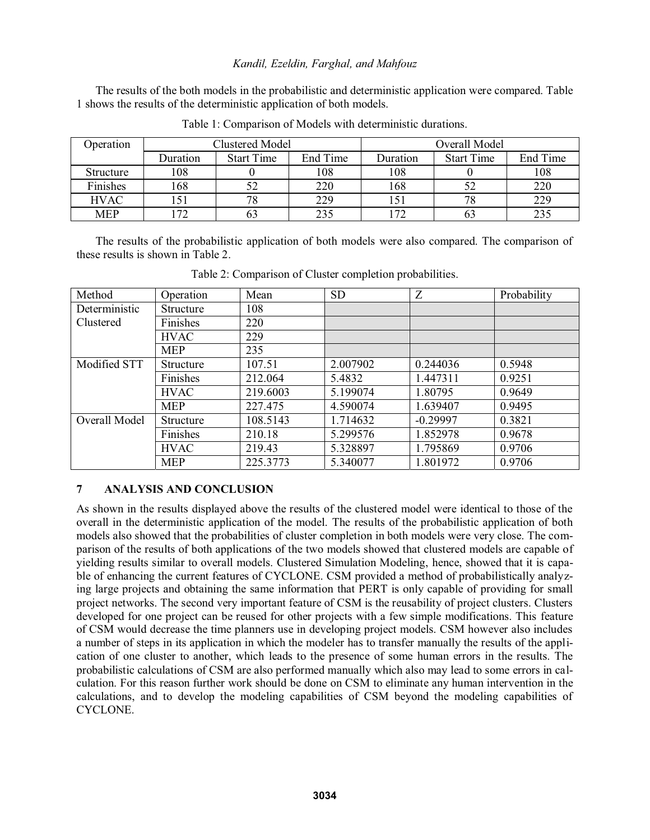The results of the both models in the probabilistic and deterministic application were compared. Table 1 shows the results of the deterministic application of both models.

| Operation   |          | Clustered Model   |          | Overall Model |                   |          |  |  |  |  |  |
|-------------|----------|-------------------|----------|---------------|-------------------|----------|--|--|--|--|--|
|             | Duration | <b>Start Time</b> | End Time | Duration      | <b>Start Time</b> | End Time |  |  |  |  |  |
| Structure   | 108      |                   | 108      | 108           |                   | 108      |  |  |  |  |  |
| Finishes    | 168      |                   | 220      | 168           |                   | 220      |  |  |  |  |  |
| <b>HVAC</b> | .51      | 78                | 229      | 151           |                   | 229      |  |  |  |  |  |
| <b>MEP</b>  | .72      | 03                | 235      | 172           | O3                | 235      |  |  |  |  |  |

Table 1: Comparison of Models with deterministic durations.

The results of the probabilistic application of both models were also compared. The comparison of these results is shown in Table 2.

| Method        | Operation        | Mean     | <b>SD</b> | Z          | Probability |
|---------------|------------------|----------|-----------|------------|-------------|
| Deterministic | <b>Structure</b> | 108      |           |            |             |
| Clustered     | Finishes         | 220      |           |            |             |
|               | <b>HVAC</b>      | 229      |           |            |             |
|               | <b>MEP</b>       | 235      |           |            |             |
| Modified STT  | <b>Structure</b> | 107.51   | 2.007902  | 0.244036   | 0.5948      |
|               | Finishes         | 212.064  | 5.4832    | 1.447311   | 0.9251      |
|               | <b>HVAC</b>      | 219.6003 | 5.199074  | 1.80795    | 0.9649      |
|               | <b>MEP</b>       | 227.475  | 4.590074  | 1.639407   | 0.9495      |
| Overall Model | <b>Structure</b> | 108.5143 | 1.714632  | $-0.29997$ | 0.3821      |
|               | Finishes         | 210.18   | 5.299576  | 1.852978   | 0.9678      |
|               | <b>HVAC</b>      | 219.43   | 5.328897  | 1.795869   | 0.9706      |
|               | <b>MEP</b>       | 225.3773 | 5.340077  | 1.801972   | 0.9706      |

Table 2: Comparison of Cluster completion probabilities.

# **7 ANALYSIS AND CONCLUSION**

As shown in the results displayed above the results of the clustered model were identical to those of the overall in the deterministic application of the model. The results of the probabilistic application of both models also showed that the probabilities of cluster completion in both models were very close. The comparison of the results of both applications of the two models showed that clustered models are capable of yielding results similar to overall models. Clustered Simulation Modeling, hence, showed that it is capable of enhancing the current features of CYCLONE. CSM provided a method of probabilistically analyzing large projects and obtaining the same information that PERT is only capable of providing for small project networks. The second very important feature of CSM is the reusability of project clusters. Clusters developed for one project can be reused for other projects with a few simple modifications. This feature of CSM would decrease the time planners use in developing project models. CSM however also includes a number of steps in its application in which the modeler has to transfer manually the results of the application of one cluster to another, which leads to the presence of some human errors in the results. The probabilistic calculations of CSM are also performed manually which also may lead to some errors in calculation. For this reason further work should be done on CSM to eliminate any human intervention in the calculations, and to develop the modeling capabilities of CSM beyond the modeling capabilities of CYCLONE.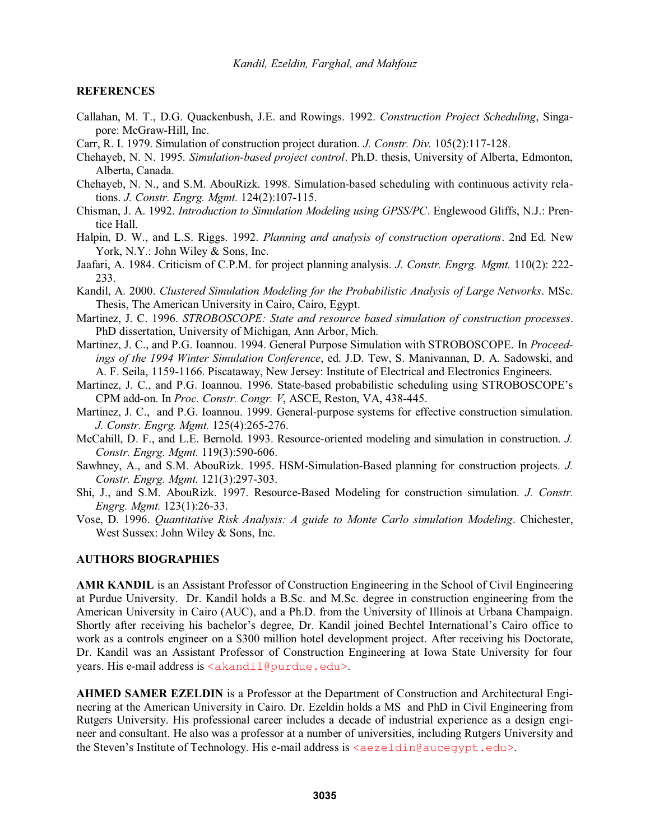### **REFERENCES**

- Callahan, M. T., D.G. Quackenbush, J.E. and Rowings. 1992. *Construction Project Scheduling*, Singapore: McGraw-Hill, Inc.
- Carr, R. I. 1979. Simulation of construction project duration. *J. Constr. Div.* 105(2):117-128.
- Chehayeb, N. N. 1995. *Simulation-based project control*. Ph.D. thesis, University of Alberta, Edmonton, Alberta, Canada.
- Chehayeb, N. N., and S.M. AbouRizk. 1998. Simulation-based scheduling with continuous activity relations. *J. Constr. Engrg. Mgmt.* 124(2):107-115.
- Chisman, J. A. 1992. *Introduction to Simulation Modeling using GPSS/PC*. Englewood Gliffs, N.J.: Prentice Hall.
- Halpin, D. W., and L.S. Riggs. 1992. *Planning and analysis of construction operations*. 2nd Ed. New York, N.Y.: John Wiley & Sons, Inc.
- Jaafari, A. 1984. Criticism of C.P.M. for project planning analysis. *J. Constr. Engrg. Mgmt.* 110(2): 222- 233.
- Kandil, A. 2000. *Clustered Simulation Modeling for the Probabilistic Analysis of Large Networks*. MSc. Thesis, The American University in Cairo, Cairo, Egypt.
- Martinez, J. C. 1996. *STROBOSCOPE: State and resource based simulation of construction processes*. PhD dissertation, University of Michigan, Ann Arbor, Mich.
- Martinez, J. C., and P.G. Ioannou. 1994. General Purpose Simulation with STROBOSCOPE. In *Proceedings of the 1994 Winter Simulation Conference*, ed. J.D. Tew, S. Manivannan, D. A. Sadowski, and A. F. Seila, 1159-1166. Piscataway, New Jersey: Institute of Electrical and Electronics Engineers.
- Martinez, J. C., and P.G. Ioannou. 1996. State-based probabilistic scheduling using STROBOSCOPE's CPM add-on. In *Proc. Constr. Congr. V*, ASCE, Reston, VA, 438-445.
- Martinez, J. C., and P.G. Ioannou. 1999. General-purpose systems for effective construction simulation. *J. Constr. Engrg. Mgmt.* 125(4):265-276.
- McCahill, D. F., and L.E. Bernold. 1993. Resource-oriented modeling and simulation in construction. *J. Constr. Engrg. Mgmt.* 119(3):590-606.
- Sawhney, A., and S.M. AbouRizk. 1995. HSM-Simulation-Based planning for construction projects. *J. Constr. Engrg. Mgmt.* 121(3):297-303.
- Shi, J., and S.M. AbouRizk. 1997. Resource-Based Modeling for construction simulation. *J. Constr. Engrg. Mgmt.* 123(1):26-33.
- Vose, D. 1996. *Quantitative Risk Analysis: A guide to Monte Carlo simulation Modeling*. Chichester, West Sussex: John Wiley & Sons, Inc.

## **AUTHORS BIOGRAPHIES**

**AMR KANDIL** is an Assistant Professor of Construction Engineering in the School of Civil Engineering at Purdue University. Dr. Kandil holds a B.Sc. and M.Sc. degree in construction engineering from the American University in Cairo (AUC), and a Ph.D. from the University of Illinois at Urbana Champaign. Shortly after receiving his bachelor's degree, Dr. Kandil joined Bechtel International's Cairo office to work as a controls engineer on a \$300 million hotel development project. After receiving his Doctorate, Dr. Kandil was an Assistant Professor of Construction Engineering at Iowa State University for four years. His e-mail address is <akandil@purdue.edu>.

**AHMED SAMER EZELDIN** is a Professor at the Department of Construction and Architectural Engineering at the American University in Cairo. Dr. Ezeldin holds a MS and PhD in Civil Engineering from Rutgers University. His professional career includes a decade of industrial experience as a design engineer and consultant. He also was a professor at a number of universities, including Rutgers University and the Steven's Institute of Technology. His e-mail address is  $\langle \text{aezeldin@auceq} \rangle$  edu>.